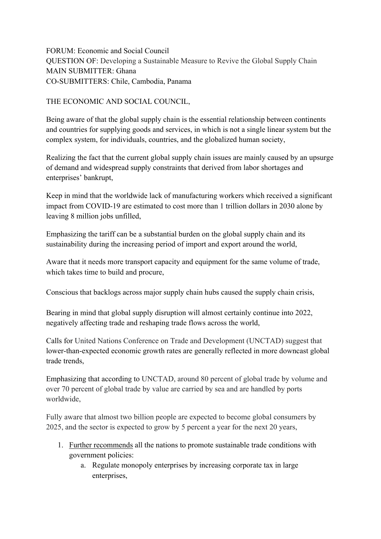FORUM: Economic and Social Council QUESTION OF: Developing a Sustainable Measure to Revive the Global Supply Chain MAIN SUBMITTER: Ghana CO-SUBMITTERS: Chile, Cambodia, Panama

THE ECONOMIC AND SOCIAL COUNCIL,

Being aware of that the global supply chain is the essential relationship between continents and countries for supplying goods and services, in which is not a single linear system but the complex system, for individuals, countries, and the globalized human society,

Realizing the fact that the current global supply chain issues are mainly caused by an upsurge of demand and widespread supply constraints that derived from labor shortages and enterprises' bankrupt,

Keep in mind that the worldwide lack of manufacturing workers which received a significant impact from COVID-19 are estimated to cost more than 1 trillion dollars in 2030 alone by leaving 8 million jobs unfilled,

Emphasizing the tariff can be a substantial burden on the global supply chain and its sustainability during the increasing period of import and export around the world,

Aware that it needs more transport capacity and equipment for the same volume of trade, which takes time to build and procure,

Conscious that backlogs across major supply chain hubs caused the supply chain crisis,

Bearing in mind that global supply disruption will almost certainly continue into 2022, negatively affecting trade and reshaping trade flows across the world,

Calls for United Nations Conference on Trade and Development (UNCTAD) suggest that lower-than-expected economic growth rates are generally reflected in more downcast global trade trends,

Emphasizing that according to UNCTAD, around 80 percent of global trade by volume and over 70 percent of global trade by value are carried by sea and are handled by ports worldwide,

Fully aware that almost two billion people are expected to become global consumers by 2025, and the sector is expected to grow by 5 percent a year for the next 20 years,

- 1. Further recommends all the nations to promote sustainable trade conditions with government policies:
	- a. Regulate monopoly enterprises by increasing corporate tax in large enterprises,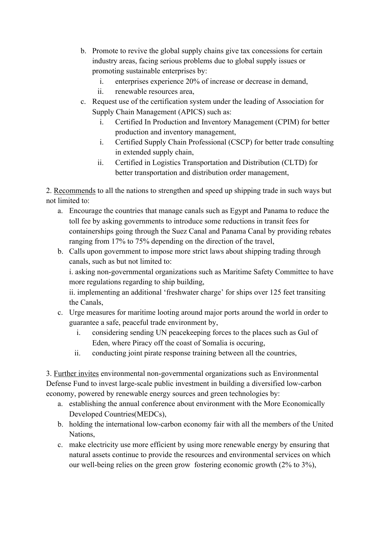- b. Promote to revive the global supply chains give tax concessions for certain industry areas, facing serious problems due to global supply issues or promoting sustainable enterprises by:
	- i. enterprises experience 20% of increase or decrease in demand,
	- ii. renewable resources area,
- c. Request use of the certification system under the leading of Association for Supply Chain Management (APICS) such as:
	- i. Certified In Production and Inventory Management (CPIM) for better production and inventory management,
	- i. Certified Supply Chain Professional (CSCP) for better trade consulting in extended supply chain,
	- ii. Certified in Logistics Transportation and Distribution (CLTD) for better transportation and distribution order management,

2. Recommends to all the nations to strengthen and speed up shipping trade in such ways but not limited to:

- a. Encourage the countries that manage canals such as Egypt and Panama to reduce the toll fee by asking governments to introduce some reductions in transit fees for containerships going through the Suez Canal and Panama Canal by providing rebates ranging from 17% to 75% depending on the direction of the travel,
- b. Calls upon government to impose more strict laws about shipping trading through canals, such as but not limited to:

i. asking non-governmental organizations such as Maritime Safety Committee to have more regulations regarding to ship building,

ii. implementing an additional 'freshwater charge' for ships over 125 feet transiting the Canals,

- c. Urge measures for maritime looting around major ports around the world in order to guarantee a safe, peaceful trade environment by,
	- i. considering sending UN peacekeeping forces to the places such as Gul of Eden, where Piracy off the coast of Somalia is occuring,
	- ii. conducting joint pirate response training between all the countries,

3. Further invites environmental non-governmental organizations such as Environmental Defense Fund to invest large-scale public investment in building a diversified low-carbon economy, powered by renewable energy sources and green technologies by:

- a. establishing the annual conference about environment with the More Economically Developed Countries(MEDCs),
- b. holding the international low-carbon economy fair with all the members of the United Nations,
- c. make electricity use more efficient by using more renewable energy by ensuring that natural assets continue to provide the resources and environmental services on which our well-being relies on the green grow fostering economic growth (2% to 3%),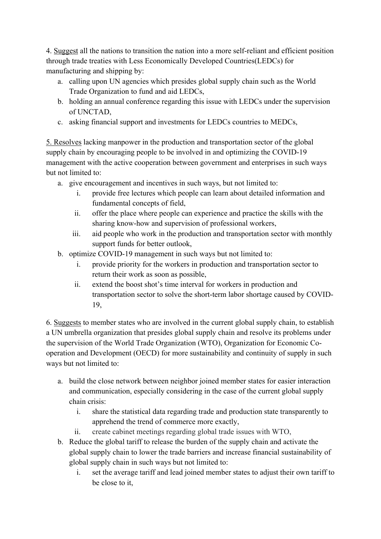4. Suggest all the nations to transition the nation into a more self-reliant and efficient position through trade treaties with Less Economically Developed Countries(LEDCs) for manufacturing and shipping by:

- a. calling upon UN agencies which presides global supply chain such as the World Trade Organization to fund and aid LEDCs,
- b. holding an annual conference regarding this issue with LEDCs under the supervision of UNCTAD,
- c. asking financial support and investments for LEDCs countries to MEDCs,

5. Resolves lacking manpower in the production and transportation sector of the global supply chain by encouraging people to be involved in and optimizing the COVID-19 management with the active cooperation between government and enterprises in such ways but not limited to:

- a. give encouragement and incentives in such ways, but not limited to:
	- i. provide free lectures which people can learn about detailed information and fundamental concepts of field,
	- ii. offer the place where people can experience and practice the skills with the sharing know-how and supervision of professional workers,
	- iii. aid people who work in the production and transportation sector with monthly support funds for better outlook,
- b. optimize COVID-19 management in such ways but not limited to:
	- i. provide priority for the workers in production and transportation sector to return their work as soon as possible,
	- ii. extend the boost shot's time interval for workers in production and transportation sector to solve the short-term labor shortage caused by COVID-19,

6. Suggests to member states who are involved in the current global supply chain, to establish a UN umbrella organization that presides global supply chain and resolve its problems under the supervision of the World Trade Organization (WTO), Organization for Economic Cooperation and Development (OECD) for more sustainability and continuity of supply in such ways but not limited to:

- a. build the close network between neighbor joined member states for easier interaction and communication, especially considering in the case of the current global supply chain crisis:
	- i. share the statistical data regarding trade and production state transparently to apprehend the trend of commerce more exactly,
	- ii. create cabinet meetings regarding global trade issues with WTO,
- b. Reduce the global tariff to release the burden of the supply chain and activate the global supply chain to lower the trade barriers and increase financial sustainability of global supply chain in such ways but not limited to:
	- i. set the average tariff and lead joined member states to adjust their own tariff to be close to it,